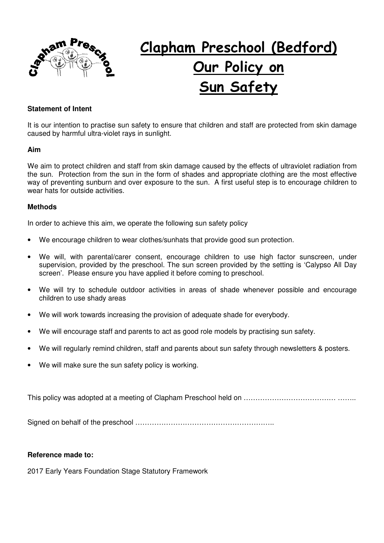

# **Clapham Preschool (Bedford) Our Policy on Sun Safety**

### **Statement of Intent**

It is our intention to practise sun safety to ensure that children and staff are protected from skin damage caused by harmful ultra-violet rays in sunlight.

#### **Aim**

We aim to protect children and staff from skin damage caused by the effects of ultraviolet radiation from the sun. Protection from the sun in the form of shades and appropriate clothing are the most effective way of preventing sunburn and over exposure to the sun. A first useful step is to encourage children to wear hats for outside activities.

#### **Methods**

In order to achieve this aim, we operate the following sun safety policy

- We encourage children to wear clothes/sunhats that provide good sun protection.
- We will, with parental/carer consent, encourage children to use high factor sunscreen, under supervision, provided by the preschool. The sun screen provided by the setting is 'Calypso All Day screen'. Please ensure you have applied it before coming to preschool.
- We will try to schedule outdoor activities in areas of shade whenever possible and encourage children to use shady areas
- We will work towards increasing the provision of adequate shade for everybody.
- We will encourage staff and parents to act as good role models by practising sun safety.
- We will regularly remind children, staff and parents about sun safety through newsletters & posters.
- We will make sure the sun safety policy is working.

This policy was adopted at a meeting of Clapham Preschool held on ………………………………… ……..

Signed on behalf of the preschool …………………………………………………..

#### **Reference made to:**

2017 Early Years Foundation Stage Statutory Framework